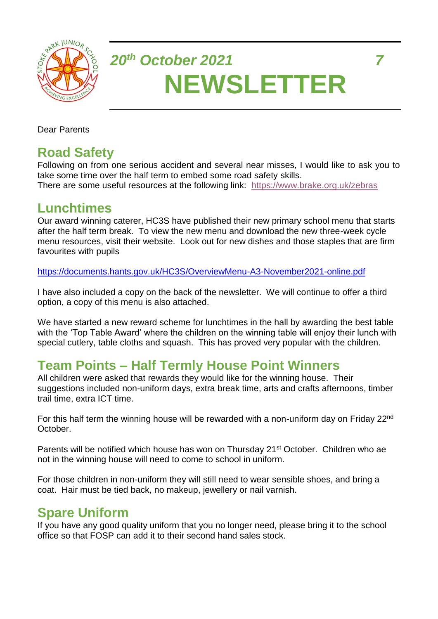

# *20th October 2021 7* **NEWSLETTER**

Dear Parents

## **Road Safety**

Following on from one serious accident and several near misses, I would like to ask you to take some time over the half term to embed some road safety skills. There are some useful resources at the following link: <https://www.brake.org.uk/zebras>

#### **Lunchtimes**

Our award winning caterer, HC3S have published their new primary school menu that starts after the half term break. To view the new menu and download the new three-week cycle menu resources, visit their website. Look out for new dishes and those staples that are firm favourites with pupils

<https://documents.hants.gov.uk/HC3S/OverviewMenu-A3-November2021-online.pdf>

I have also included a copy on the back of the newsletter. We will continue to offer a third option, a copy of this menu is also attached.

We have started a new reward scheme for lunchtimes in the hall by awarding the best table with the 'Top Table Award' where the children on the winning table will enjoy their lunch with special cutlery, table cloths and squash. This has proved very popular with the children.

# **Team Points – Half Termly House Point Winners**

All children were asked that rewards they would like for the winning house. Their suggestions included non-uniform days, extra break time, arts and crafts afternoons, timber trail time, extra ICT time.

For this half term the winning house will be rewarded with a non-uniform day on Friday 22<sup>nd</sup> October.

Parents will be notified which house has won on Thursday 21<sup>st</sup> October. Children who ae not in the winning house will need to come to school in uniform.

For those children in non-uniform they will still need to wear sensible shoes, and bring a coat. Hair must be tied back, no makeup, jewellery or nail varnish.

# **Spare Uniform**

If you have any good quality uniform that you no longer need, please bring it to the school office so that FOSP can add it to their second hand sales stock.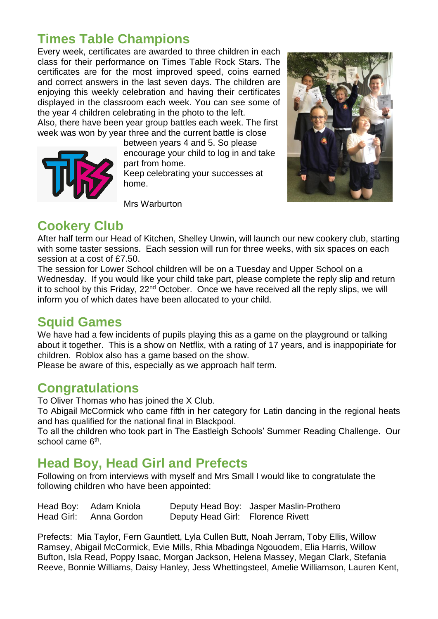#### **Times Table Champions**

Every week, certificates are awarded to three children in each class for their performance on Times Table Rock Stars. The certificates are for the most improved speed, coins earned and correct answers in the last seven days. The children are enjoying this weekly celebration and having their certificates displayed in the classroom each week. You can see some of the year 4 children celebrating in the photo to the left.

Also, there have been year group battles each week. The first week was won by year three and the current battle is close



between years 4 and 5. So please encourage your child to log in and take part from home.

Keep celebrating your successes at home.

Mrs Warburton



### **Cookery Club**

After half term our Head of Kitchen, Shelley Unwin, will launch our new cookery club, starting with some taster sessions. Each session will run for three weeks, with six spaces on each session at a cost of £7.50.

The session for Lower School children will be on a Tuesday and Upper School on a Wednesday. If you would like your child take part, please complete the reply slip and return it to school by this Friday,  $22<sup>nd</sup> October$ . Once we have received all the reply slips, we will inform you of which dates have been allocated to your child.

#### **Squid Games**

We have had a few incidents of pupils playing this as a game on the playground or talking about it together. This is a show on Netflix, with a rating of 17 years, and is inappopiriate for children. Roblox also has a game based on the show.

Please be aware of this, especially as we approach half term.

#### **Congratulations**

To Oliver Thomas who has joined the X Club.

To Abigail McCormick who came fifth in her category for Latin dancing in the regional heats and has qualified for the national final in Blackpool.

To all the children who took part in The Eastleigh Schools' Summer Reading Challenge. Our school came 6<sup>th</sup>.

#### **Head Boy, Head Girl and Prefects**

Following on from interviews with myself and Mrs Small I would like to congratulate the following children who have been appointed:

| Head Boy: Adam Kniola  |                                   | Deputy Head Boy: Jasper Maslin-Prothero |
|------------------------|-----------------------------------|-----------------------------------------|
| Head Girl: Anna Gordon | Deputy Head Girl: Florence Rivett |                                         |

Prefects: Mia Taylor, Fern Gauntlett, Lyla Cullen Butt, Noah Jerram, Toby Ellis, Willow Ramsey, Abigail McCormick, Evie Mills, Rhia Mbadinga Ngouodem, Elia Harris, Willow Bufton, Isla Read, Poppy Isaac, Morgan Jackson, Helena Massey, Megan Clark, Stefania Reeve, Bonnie Williams, Daisy Hanley, Jess Whettingsteel, Amelie Williamson, Lauren Kent,